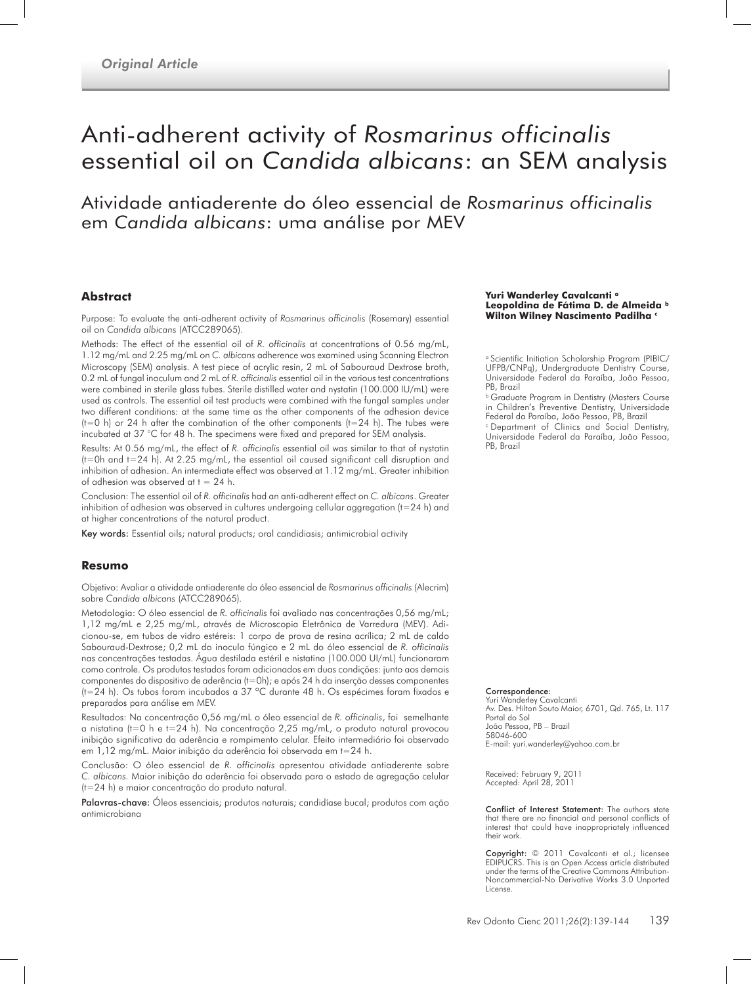# Anti-adherent activity of *Rosmarinus officinalis* essential oil on *Candida albicans*: an SEM analysis

Atividade antiaderente do óleo essencial de *Rosmarinus officinalis* em *Candida albicans*: uma análise por MEV

#### **Abstract**

Purpose: To evaluate the anti-adherent activity of *Rosmarinus officinalis* (Rosemary) essential oil on *Candida albicans* (ATCC289065).

Methods: The effect of the essential oil of *R. officinalis* at concentrations of 0.56 mg/mL, 1.12 mg/mL and 2.25 mg/mL on *C. albicans* adherence was examined using Scanning Electron Microscopy (SEM) analysis. A test piece of acrylic resin, 2 mL of Sabouraud Dextrose broth, 0.2 mL of fungal inoculum and 2 mL of *R. officinalis* essential oil in the various test concentrations were combined in sterile glass tubes. Sterile distilled water and nystatin (100.000 IU/mL) were used as controls. The essential oil test products were combined with the fungal samples under two different conditions: at the same time as the other components of the adhesion device ( $t=0$  h) or 24 h after the combination of the other components ( $t=24$  h). The tubes were incubated at 37 °C for 48 h. The specimens were fixed and prepared for SEM analysis.

Results: At 0.56 mg/mL, the effect of *R. officinalis* essential oil was similar to that of nystatin  $(t=0h$  and  $t=24$  h). At 2.25 mg/mL, the essential oil caused significant cell disruption and inhibition of adhesion. An intermediate effect was observed at 1.12 mg/mL. Greater inhibition of adhesion was observed at  $t = 24$  h.

Conclusion: The essential oil of *R. officinalis* had an anti-adherent effect on *C. albicans*. Greater inhibition of adhesion was observed in cultures undergoing cellular aggregation (t=24 h) and at higher concentrations of the natural product.

Key words: Essential oils; natural products; oral candidiasis; antimicrobial activity

#### **Resumo**

Objetivo: Avaliar a atividade antiaderente do óleo essencial de *Rosmarinus officinalis* (Alecrim) sobre *Candida albicans* (ATCC289065)*.*

Metodologia: O óleo essencial de *R. officinalis* foi avaliado nas concentrações 0,56 mg/mL; 1,12 mg/mL e 2,25 mg/mL, através de Microscopia Eletrônica de Varredura (MEV). Adicionou-se, em tubos de vidro estéreis: 1 corpo de prova de resina acrílica; 2 mL de caldo Sabouraud-Dextrose; 0,2 mL do inoculo fúngico e 2 mL do óleo essencial de *R. officinalis* nas concentrações testadas. Água destilada estéril e nistatina (100.000 UI/mL) funcionaram como controle. Os produtos testados foram adicionados em duas condições: junto aos demais componentes do dispositivo de aderência (t=0h); e após 24 h da inserção desses componentes (t=24 h). Os tubos foram incubados a 37 ºC durante 48 h. Os espécimes foram fixados e preparados para análise em MEV.

Resultados: Na concentração 0,56 mg/mL o óleo essencial de *R. officinalis*, foi semelhante a nistatina (t=0 h e t=24 h). Na concentração 2,25 mg/mL, o produto natural provocou inibição significativa da aderência e rompimento celular. Efeito intermediário foi observado em 1,12 mg/mL. Maior inibição da aderência foi observada em t=24 h.

Conclusão: O óleo essencial de *R. officinalis* apresentou atividade antiaderente sobre *C. albicans.* Maior inibição da aderência foi observada para o estado de agregação celular (t=24 h) e maior concentração do produto natural.

Palavras-chave: Óleos essenciais; produtos naturais; candidíase bucal; produtos com ação antimicrobiana

#### **Yuri Wanderley Cavalcanti a Leopoldina de Fátima D. de Almeida b Wilton Wilney Nascimento Padilha c**

<sup>a</sup> Scientific Initiation Scholarship Program (PIBIC/ UFPB/CNPq), Undergraduate Dentistry Course, Universidade Federal da Paraíba, João Pessoa, PB, Brazil

**b Graduate Program in Dentistry (Masters Course** in Children's Preventive Dentistry, Universidade Federal da Paraíba, João Pessoa, PB, Brazil

<sup>c</sup> Department of Clinics and Social Dentistry, Universidade Federal da Paraíba, João Pessoa, PB, Brazil

Correspondence:

Yuri Wanderley Cavalcanti Av. Des. Hilton Souto Maior, 6701, Qd. 765, Lt. 117 Portal do Sol João Pessoa, PB – Brazil 58046-600 E-mail: yuri.wanderley@yahoo.com.br

Received: February 9, 2011 Accepted: April 28, 2011

Conflict of Interest Statement: The authors state that there are no financial and personal conflicts of interest that could have inappropriately influenced their work.

Copyright: © 2011 Cavalcanti et al.; licensee EDIPUCRS. This is an Open Access article distributed under the terms of the Creative Commons Attribution-Noncommercial-No Derivative Works 3.0 Unported **License**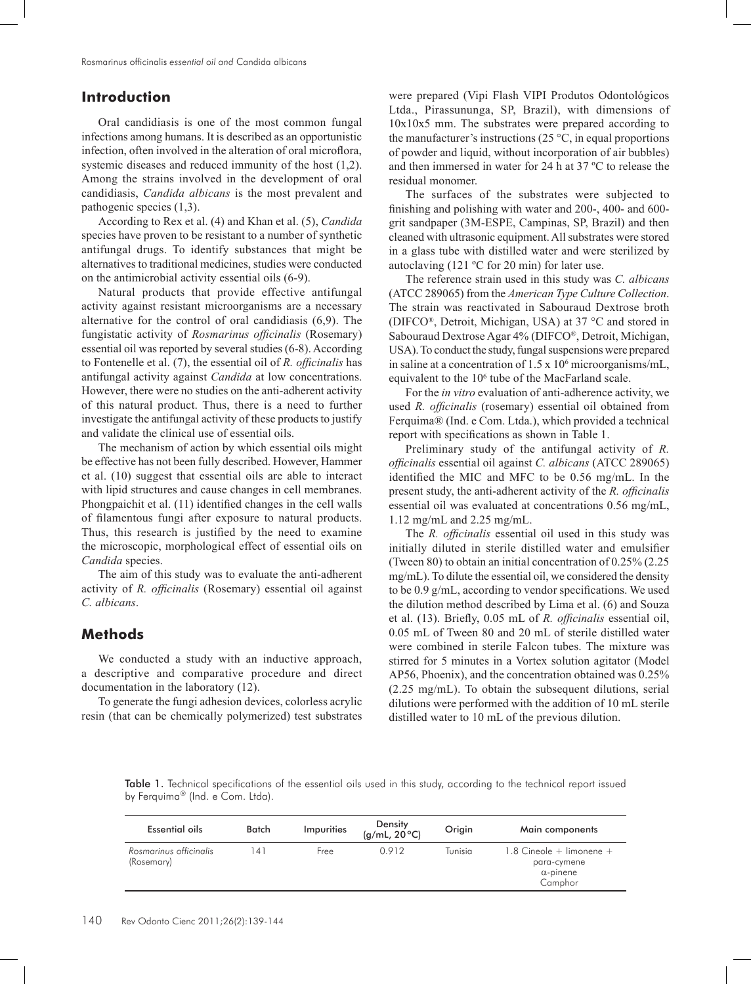# **Introduction**

Oral candidiasis is one of the most common fungal infections among humans. It is described as an opportunistic infection, often involved in the alteration of oral microflora, systemic diseases and reduced immunity of the host (1,2). Among the strains involved in the development of oral candidiasis, *Candida albicans* is the most prevalent and pathogenic species (1,3).

According to Rex et al. (4) and Khan et al. (5), *Candida* species have proven to be resistant to a number of synthetic antifungal drugs. To identify substances that might be alternatives to traditional medicines, studies were conducted on the antimicrobial activity essential oils (6-9).

Natural products that provide effective antifungal activity against resistant microorganisms are a necessary alternative for the control of oral candidiasis (6,9). The fungistatic activity of *Rosmarinus officinalis* (Rosemary) essential oil was reported by several studies (6-8). According to Fontenelle et al. (7), the essential oil of *R. officinalis* has antifungal activity against *Candida* at low concentrations. However, there were no studies on the anti-adherent activity of this natural product. Thus, there is a need to further investigate the antifungal activity of these products to justify and validate the clinical use of essential oils.

The mechanism of action by which essential oils might be effective has not been fully described. However, Hammer et al. (10) suggest that essential oils are able to interact with lipid structures and cause changes in cell membranes. Phongpaichit et al. (11) identified changes in the cell walls of filamentous fungi after exposure to natural products. Thus, this research is justified by the need to examine the microscopic, morphological effect of essential oils on *Candida* species.

The aim of this study was to evaluate the anti-adherent activity of *R. officinalis* (Rosemary) essential oil against *C. albicans*.

## **Methods**

We conducted a study with an inductive approach, a descriptive and comparative procedure and direct documentation in the laboratory (12).

To generate the fungi adhesion devices, colorless acrylic resin (that can be chemically polymerized) test substrates

were prepared (Vipi Flash VIPI Produtos Odontológicos Ltda., Pirassununga, SP, Brazil), with dimensions of 10x10x5 mm. The substrates were prepared according to the manufacturer's instructions (25 $\degree$ C, in equal proportions of powder and liquid, without incorporation of air bubbles) and then immersed in water for 24 h at 37 ºC to release the residual monomer.

The surfaces of the substrates were subjected to finishing and polishing with water and 200-, 400- and 600 grit sandpaper (3M-ESPE, Campinas, SP, Brazil) and then cleaned with ultrasonic equipment. All substrates were stored in a glass tube with distilled water and were sterilized by autoclaving (121 ºC for 20 min) for later use.

The reference strain used in this study was *C. albicans* (ATCC 289065) from the *American Type Culture Collection*. The strain was reactivated in Sabouraud Dextrose broth (DIFCO®, Detroit, Michigan, USA) at 37 °C and stored in Sabouraud Dextrose Agar 4% (DIFCO®, Detroit, Michigan, USA). To conduct the study, fungal suspensions were prepared in saline at a concentration of  $1.5 \times 10^6$  microorganisms/mL, equivalent to the 106 tube of the MacFarland scale.

For the *in vitro* evaluation of anti-adherence activity, we used *R. officinalis* (rosemary) essential oil obtained from Ferquima® (Ind. e Com. Ltda.), which provided a technical report with specifications as shown in Table 1.

Preliminary study of the antifungal activity of *R. officinalis* essential oil against *C. albicans* (ATCC 289065) identified the MIC and MFC to be 0.56 mg/mL. In the present study, the anti-adherent activity of the *R. officinalis* essential oil was evaluated at concentrations 0.56 mg/mL, 1.12 mg/mL and 2.25 mg/mL.

The *R. officinalis* essential oil used in this study was initially diluted in sterile distilled water and emulsifier (Tween 80) to obtain an initial concentration of 0.25% (2.25 mg/mL). To dilute the essential oil, we considered the density to be 0.9 g/mL, according to vendor specifications. We used the dilution method described by Lima et al. (6) and Souza et al. (13). Briefly, 0.05 mL of *R. officinalis* essential oil, 0.05 mL of Tween 80 and 20 mL of sterile distilled water were combined in sterile Falcon tubes. The mixture was stirred for 5 minutes in a Vortex solution agitator (Model AP56, Phoenix), and the concentration obtained was 0.25% (2.25 mg/mL). To obtain the subsequent dilutions, serial dilutions were performed with the addition of 10 mL sterile distilled water to 10 mL of the previous dilution.

Table 1. Technical specifications of the essential oils used in this study, according to the technical report issued by Ferquima® (Ind. e Com. Ltda).

| Essential oils                       | Batch | Impurities | Density<br>(g/mL, 20°C) | Origin  | Main components                                                          |
|--------------------------------------|-------|------------|-------------------------|---------|--------------------------------------------------------------------------|
| Rosmarinus officinalis<br>(Rosemary) | l 41  | Free       | 0.912                   | Tunisia | $1.8$ Cineole + limonene +<br>para-cymene<br>$\alpha$ -pinene<br>Camphor |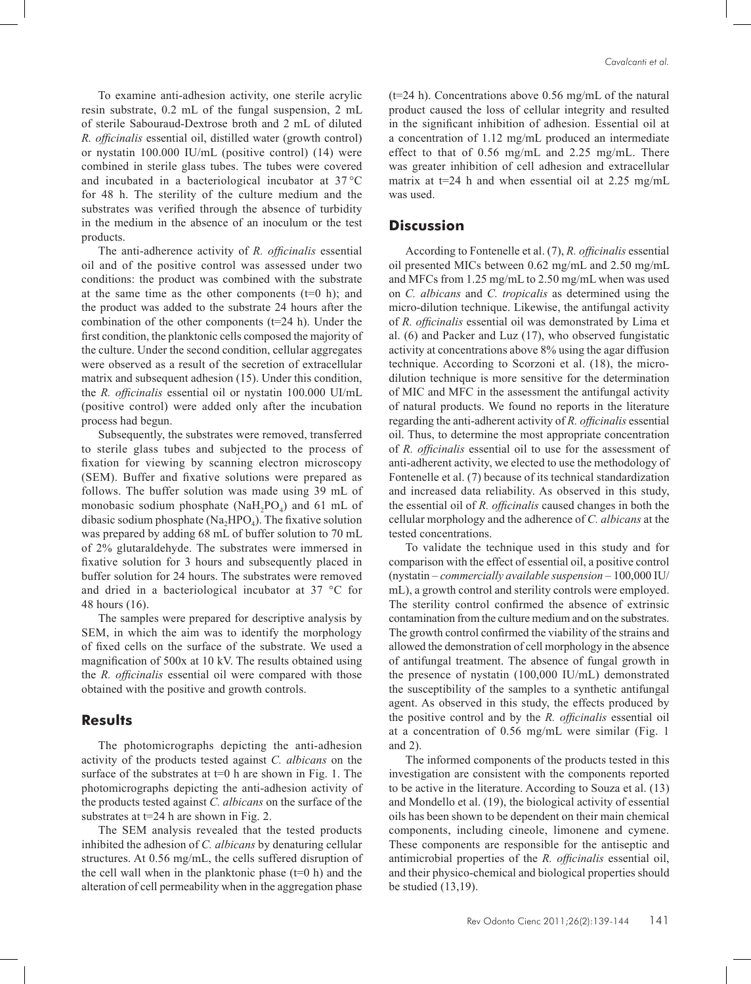To examine anti-adhesion activity, one sterile acrylic resin substrate, 0.2 mL of the fungal suspension, 2 mL of sterile Sabouraud-Dextrose broth and 2 mL of diluted *R. officinalis* essential oil, distilled water (growth control) or nystatin 100.000 IU/mL (positive control) (14) were combined in sterile glass tubes. The tubes were covered and incubated in a bacteriological incubator at 37 °C for 48 h. The sterility of the culture medium and the substrates was verified through the absence of turbidity in the medium in the absence of an inoculum or the test products.

The anti-adherence activity of *R. officinalis* essential oil and of the positive control was assessed under two conditions: the product was combined with the substrate at the same time as the other components  $(t=0 h)$ ; and the product was added to the substrate 24 hours after the combination of the other components ( $t=24$  h). Under the first condition, the planktonic cells composed the majority of the culture. Under the second condition, cellular aggregates were observed as a result of the secretion of extracellular matrix and subsequent adhesion (15). Under this condition, the *R. officinalis* essential oil or nystatin 100.000 UI/mL (positive control) were added only after the incubation process had begun.

Subsequently, the substrates were removed, transferred to sterile glass tubes and subjected to the process of fixation for viewing by scanning electron microscopy (SEM). Buffer and fixative solutions were prepared as follows. The buffer solution was made using 39 mL of monobasic sodium phosphate (NaH<sub>2</sub>PO<sub>4</sub>) and 61 mL of dibasic sodium phosphate (Na<sub>2</sub>HPO<sub>4</sub>). The fixative solution was prepared by adding 68 mL of buffer solution to 70 mL of 2% glutaraldehyde. The substrates were immersed in fixative solution for 3 hours and subsequently placed in buffer solution for 24 hours. The substrates were removed and dried in a bacteriological incubator at 37 °C for 48 hours (16).

The samples were prepared for descriptive analysis by SEM, in which the aim was to identify the morphology of fixed cells on the surface of the substrate. We used a magnification of 500x at 10 kV. The results obtained using the *R. officinalis* essential oil were compared with those obtained with the positive and growth controls.

### **Results**

The photomicrographs depicting the anti-adhesion activity of the products tested against *C. albicans* on the surface of the substrates at  $t=0$  h are shown in Fig. 1. The photomicrographs depicting the anti-adhesion activity of the products tested against *C. albicans* on the surface of the substrates at  $t=24$  h are shown in Fig. 2.

The SEM analysis revealed that the tested products inhibited the adhesion of *C. albicans* by denaturing cellular structures. At 0.56 mg/mL, the cells suffered disruption of the cell wall when in the planktonic phase  $(t=0 h)$  and the alteration of cell permeability when in the aggregation phase  $(t=24 h)$ . Concentrations above 0.56 mg/mL of the natural product caused the loss of cellular integrity and resulted in the significant inhibition of adhesion. Essential oil at a concentration of 1.12 mg/mL produced an intermediate effect to that of 0.56 mg/mL and 2.25 mg/mL. There was greater inhibition of cell adhesion and extracellular matrix at  $t=24$  h and when essential oil at 2.25 mg/mL was used.

#### **Discussion**

According to Fontenelle et al. (7), *R. officinalis* essential oil presented MICs between 0.62 mg/mL and 2.50 mg/mL and MFCs from 1.25 mg/mL to 2.50 mg/mL when was used on *C. albicans* and *C. tropicalis* as determined using the micro-dilution technique. Likewise, the antifungal activity of *R. officinalis* essential oil was demonstrated by Lima et al. (6) and Packer and Luz (17), who observed fungistatic activity at concentrations above 8% using the agar diffusion technique. According to Scorzoni et al. (18), the microdilution technique is more sensitive for the determination of MIC and MFC in the assessment the antifungal activity of natural products. We found no reports in the literature regarding the anti-adherent activity of *R. officinalis* essential oil. Thus, to determine the most appropriate concentration of *R. officinalis* essential oil to use for the assessment of anti-adherent activity, we elected to use the methodology of Fontenelle et al. (7) because of its technical standardization and increased data reliability. As observed in this study, the essential oil of *R. officinalis* caused changes in both the cellular morphology and the adherence of *C. albicans* at the tested concentrations.

To validate the technique used in this study and for comparison with the effect of essential oil, a positive control (nystatin – *commercially available suspension* – 100,000 IU/ mL), a growth control and sterility controls were employed. The sterility control confirmed the absence of extrinsic contamination from the culture medium and on the substrates. The growth control confirmed the viability of the strains and allowed the demonstration of cell morphology in the absence of antifungal treatment. The absence of fungal growth in the presence of nystatin (100,000 IU/mL) demonstrated the susceptibility of the samples to a synthetic antifungal agent. As observed in this study, the effects produced by the positive control and by the *R. officinalis* essential oil at a concentration of 0.56 mg/mL were similar (Fig. 1 and 2).

The informed components of the products tested in this investigation are consistent with the components reported to be active in the literature. According to Souza et al. (13) and Mondello et al. (19), the biological activity of essential oils has been shown to be dependent on their main chemical components, including cineole, limonene and cymene. These components are responsible for the antiseptic and antimicrobial properties of the *R. officinalis* essential oil, and their physico-chemical and biological properties should be studied (13,19).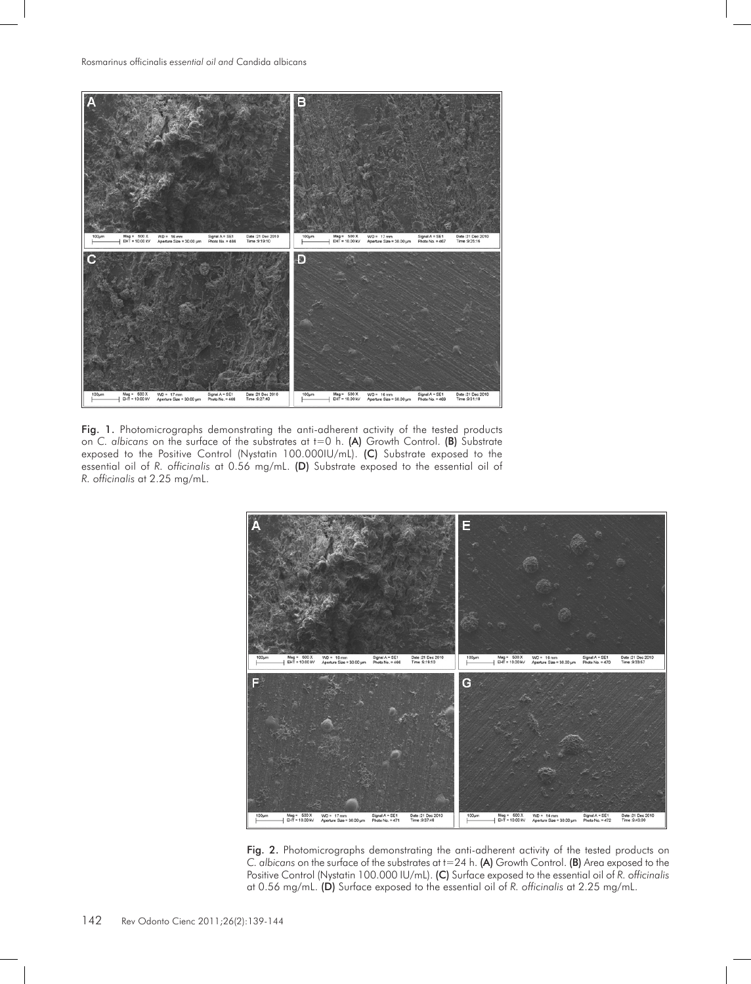

Fig. 1. Photomicrographs demonstrating the anti-adherent activity of the tested products on *C. albicans* on the surface of the substrates at t=0 h. (A) Growth Control. (B) Substrate exposed to the Positive Control (Nystatin 100.000IU/mL). (C) Substrate exposed to the essential oil of *R. officinalis* at 0.56 mg/mL. (D) Substrate exposed to the essential oil of *R. officinalis* at 2.25 mg/mL.



Fig. 2. Photomicrographs demonstrating the anti-adherent activity of the tested products on *C. albicans* on the surface of the substrates at t=24 h. (A) Growth Control. (B) Area exposed to the Positive Control (Nystatin 100.000 IU/mL). (C) Surface exposed to the essential oil of *R. officinalis* at 0.56 mg/mL. (D) Surface exposed to the essential oil of *R. officinalis* at 2.25 mg/mL.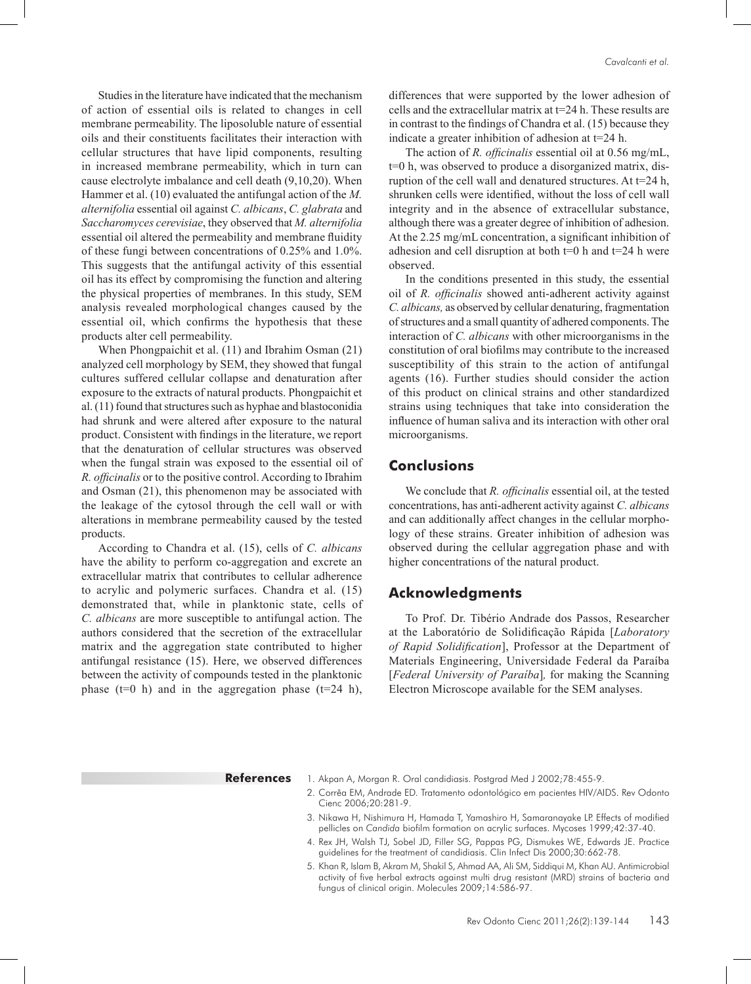Studies in the literature have indicated that the mechanism of action of essential oils is related to changes in cell membrane permeability. The liposoluble nature of essential oils and their constituents facilitates their interaction with cellular structures that have lipid components, resulting in increased membrane permeability, which in turn can cause electrolyte imbalance and cell death (9,10,20). When Hammer et al. (10) evaluated the antifungal action of the *M. alternifolia* essential oil against *C. albicans*, *C. glabrata* and *Saccharomyces cerevisiae*, they observed that *M. alternifolia*  essential oil altered the permeability and membrane fluidity of these fungi between concentrations of 0.25% and 1.0%. This suggests that the antifungal activity of this essential oil has its effect by compromising the function and altering the physical properties of membranes. In this study, SEM analysis revealed morphological changes caused by the essential oil, which confirms the hypothesis that these products alter cell permeability.

When Phongpaichit et al. (11) and Ibrahim Osman (21) analyzed cell morphology by SEM, they showed that fungal cultures suffered cellular collapse and denaturation after exposure to the extracts of natural products. Phongpaichit et al. (11) found that structures such as hyphae and blastoconidia had shrunk and were altered after exposure to the natural product. Consistent with findings in the literature, we report that the denaturation of cellular structures was observed when the fungal strain was exposed to the essential oil of *R. officinalis* or to the positive control. According to Ibrahim and Osman (21), this phenomenon may be associated with the leakage of the cytosol through the cell wall or with alterations in membrane permeability caused by the tested products.

According to Chandra et al. (15), cells of *C. albicans* have the ability to perform co-aggregation and excrete an extracellular matrix that contributes to cellular adherence to acrylic and polymeric surfaces. Chandra et al. (15) demonstrated that, while in planktonic state, cells of *C. albicans* are more susceptible to antifungal action. The authors considered that the secretion of the extracellular matrix and the aggregation state contributed to higher antifungal resistance (15). Here, we observed differences between the activity of compounds tested in the planktonic phase ( $t=0$  h) and in the aggregation phase ( $t=24$  h),

differences that were supported by the lower adhesion of cells and the extracellular matrix at t=24 h. These results are in contrast to the findings of Chandra et al. (15) because they indicate a greater inhibition of adhesion at  $t=24$  h.

The action of *R. officinalis* essential oil at 0.56 mg/mL, t=0 h, was observed to produce a disorganized matrix, disruption of the cell wall and denatured structures. At t=24 h, shrunken cells were identified, without the loss of cell wall integrity and in the absence of extracellular substance, although there was a greater degree of inhibition of adhesion. At the 2.25 mg/mL concentration, a significant inhibition of adhesion and cell disruption at both  $t=0$  h and  $t=24$  h were observed.

In the conditions presented in this study, the essential oil of *R. officinalis* showed anti-adherent activity against *C. albicans,* as observed by cellular denaturing, fragmentation of structures and a small quantity of adhered components. The interaction of *C. albicans* with other microorganisms in the constitution of oral biofilms may contribute to the increased susceptibility of this strain to the action of antifungal agents (16). Further studies should consider the action of this product on clinical strains and other standardized strains using techniques that take into consideration the influence of human saliva and its interaction with other oral microorganisms.

### **Conclusions**

We conclude that *R. officinalis* essential oil, at the tested concentrations, has anti-adherent activity against *C. albicans* and can additionally affect changes in the cellular morphology of these strains. Greater inhibition of adhesion was observed during the cellular aggregation phase and with higher concentrations of the natural product.

#### **Acknowledgments**

To Prof. Dr. Tibério Andrade dos Passos, Researcher at the Laboratório de Solidificação Rápida [*Laboratory of Rapid Solidification*], Professor at the Department of Materials Engineering, Universidade Federal da Paraíba [*Federal University of Paraíba*]*,* for making the Scanning Electron Microscope available for the SEM analyses.

**References** 1. Akpan A, Morgan R. Oral candidiasis. Postgrad Med J 2002;78:455-9.

- 2. Corrêa EM, Andrade ED. Tratamento odontológico em pacientes HIV/AIDS. Rev Odonto Cienc 2006;20:281-9.
- 3. Nikawa H, Nishimura H, Hamada T, Yamashiro H, Samaranayake LP. Effects of modified pellicles on *Candida* biofilm formation on acrylic surfaces. Mycoses 1999;42:37-40.
- 4. Rex JH, Walsh TJ, Sobel JD, Filler SG, Pappas PG, Dismukes WE, Edwards JE. Practice guidelines for the treatment of candidiasis. Clin Infect Dis 2000;30:662-78.
- 5. Khan R, Islam B, Akram M, Shakil S, Ahmad AA, Ali SM, Siddiqui M, Khan AU. Antimicrobial activity of five herbal extracts against multi drug resistant (MRD) strains of bacteria and fungus of clinical origin. Molecules 2009;14:586-97.